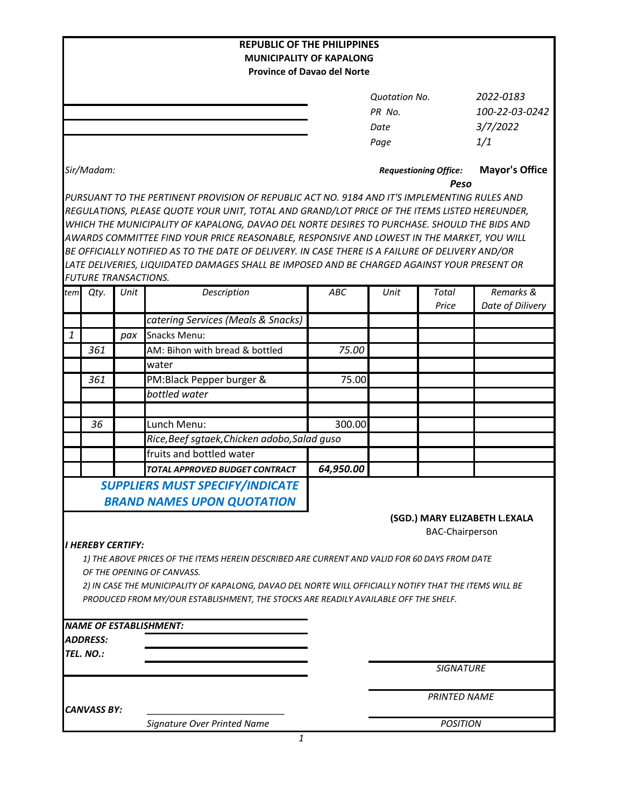|                        |                                 |      | <b>REPUBLIC OF THE PHILIPPINES</b>                                                                                                                                                            |                               |                              |                     |                       |
|------------------------|---------------------------------|------|-----------------------------------------------------------------------------------------------------------------------------------------------------------------------------------------------|-------------------------------|------------------------------|---------------------|-----------------------|
|                        |                                 |      | <b>MUNICIPALITY OF KAPALONG</b>                                                                                                                                                               |                               |                              |                     |                       |
|                        |                                 |      | <b>Province of Davao del Norte</b>                                                                                                                                                            |                               |                              |                     |                       |
|                        |                                 |      |                                                                                                                                                                                               |                               | <b>Quotation No.</b>         |                     | 2022-0183             |
|                        |                                 |      |                                                                                                                                                                                               |                               | PR No.                       |                     | 100-22-03-0242        |
|                        |                                 |      |                                                                                                                                                                                               |                               | Date                         |                     | 3/7/2022              |
|                        |                                 |      |                                                                                                                                                                                               |                               | Page                         |                     | 1/1                   |
|                        |                                 |      |                                                                                                                                                                                               |                               |                              |                     |                       |
| Sir/Madam:             |                                 |      |                                                                                                                                                                                               |                               | <b>Requestioning Office:</b> |                     | <b>Mayor's Office</b> |
|                        |                                 |      |                                                                                                                                                                                               | Peso                          |                              |                     |                       |
|                        |                                 |      | PURSUANT TO THE PERTINENT PROVISION OF REPUBLIC ACT NO. 9184 AND IT'S IMPLEMENTING RULES AND                                                                                                  |                               |                              |                     |                       |
|                        |                                 |      | REGULATIONS, PLEASE QUOTE YOUR UNIT, TOTAL AND GRAND/LOT PRICE OF THE ITEMS LISTED HEREUNDER,<br>WHICH THE MUNICIPALITY OF KAPALONG, DAVAO DEL NORTE DESIRES TO PURCHASE. SHOULD THE BIDS AND |                               |                              |                     |                       |
|                        |                                 |      | AWARDS COMMITTEE FIND YOUR PRICE REASONABLE, RESPONSIVE AND LOWEST IN THE MARKET, YOU WILL                                                                                                    |                               |                              |                     |                       |
|                        |                                 |      | BE OFFICIALLY NOTIFIED AS TO THE DATE OF DELIVERY. IN CASE THERE IS A FAILURE OF DELIVERY AND/OR                                                                                              |                               |                              |                     |                       |
|                        |                                 |      | LATE DELIVERIES, LIQUIDATED DAMAGES SHALL BE IMPOSED AND BE CHARGED AGAINST YOUR PRESENT OR                                                                                                   |                               |                              |                     |                       |
|                        | <b>FUTURE TRANSACTIONS.</b>     |      |                                                                                                                                                                                               |                               |                              |                     |                       |
| tem                    | Qty.                            | Unit | Description                                                                                                                                                                                   | <b>ABC</b>                    | Unit                         | Total               | Remarks &             |
|                        |                                 |      |                                                                                                                                                                                               |                               |                              | Price               | Date of Dilivery      |
|                        |                                 |      | catering Services (Meals & Snacks)                                                                                                                                                            |                               |                              |                     |                       |
| 1                      |                                 | pax  | Snacks Menu:                                                                                                                                                                                  |                               |                              |                     |                       |
|                        | 361                             |      | AM: Bihon with bread & bottled                                                                                                                                                                | 75.00                         |                              |                     |                       |
|                        |                                 |      | water                                                                                                                                                                                         |                               |                              |                     |                       |
|                        | 361                             |      | PM:Black Pepper burger &                                                                                                                                                                      | 75.00                         |                              |                     |                       |
|                        |                                 |      | bottled water                                                                                                                                                                                 |                               |                              |                     |                       |
|                        |                                 |      |                                                                                                                                                                                               |                               |                              |                     |                       |
|                        | 36                              |      | Lunch Menu:                                                                                                                                                                                   | 300.00                        |                              |                     |                       |
|                        |                                 |      | Rice, Beef sgtaek, Chicken adobo, Salad guso                                                                                                                                                  |                               |                              |                     |                       |
|                        |                                 |      | fruits and bottled water                                                                                                                                                                      |                               |                              |                     |                       |
|                        |                                 |      | TOTAL APPROVED BUDGET CONTRACT                                                                                                                                                                | 64,950.00                     |                              |                     |                       |
|                        |                                 |      | <b>SUPPLIERS MUST SPECIFY/INDICATE</b>                                                                                                                                                        |                               |                              |                     |                       |
|                        |                                 |      | <b>BRAND NAMES UPON QUOTATION</b>                                                                                                                                                             |                               |                              |                     |                       |
|                        |                                 |      |                                                                                                                                                                                               | (SGD.) MARY ELIZABETH L.EXALA |                              |                     |                       |
| <b>BAC-Chairperson</b> |                                 |      |                                                                                                                                                                                               |                               |                              |                     |                       |
|                        | <i><b>I HEREBY CERTIFY:</b></i> |      | 1) THE ABOVE PRICES OF THE ITEMS HEREIN DESCRIBED ARE CURRENT AND VALID FOR 60 DAYS FROM DATE                                                                                                 |                               |                              |                     |                       |
|                        |                                 |      | OF THE OPENING OF CANVASS.                                                                                                                                                                    |                               |                              |                     |                       |
|                        |                                 |      | 2) IN CASE THE MUNICIPALITY OF KAPALONG, DAVAO DEL NORTE WILL OFFICIALLY NOTIFY THAT THE ITEMS WILL BE                                                                                        |                               |                              |                     |                       |
|                        |                                 |      | PRODUCED FROM MY/OUR ESTABLISHMENT, THE STOCKS ARE READILY AVAILABLE OFF THE SHELF.                                                                                                           |                               |                              |                     |                       |
|                        |                                 |      |                                                                                                                                                                                               |                               |                              |                     |                       |
|                        |                                 |      | <b>NAME OF ESTABLISHMENT:</b>                                                                                                                                                                 |                               |                              |                     |                       |
|                        | <b>ADDRESS:</b>                 |      |                                                                                                                                                                                               |                               |                              |                     |                       |
|                        | TEL. NO.:                       |      |                                                                                                                                                                                               |                               |                              |                     |                       |
|                        |                                 |      |                                                                                                                                                                                               |                               |                              | <b>SIGNATURE</b>    |                       |
|                        |                                 |      |                                                                                                                                                                                               |                               |                              |                     |                       |
|                        | <b>CANVASS BY:</b>              |      |                                                                                                                                                                                               |                               |                              | <b>PRINTED NAME</b> |                       |
|                        |                                 |      | Signature Over Printed Name                                                                                                                                                                   |                               | <b>POSITION</b>              |                     |                       |